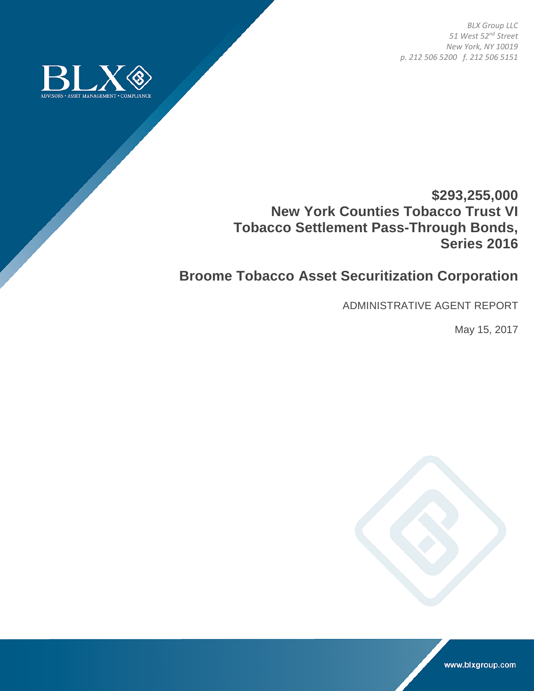*BLX Group LLC 51 West 52nd Street New York, NY 10019 p. 212 506 5200 f. 212 506 5151* 



## **\$293,255,000 New York Counties Tobacco Trust VI Tobacco Settlement Pass-Through Bonds, Series 2016**

## **Broome Tobacco Asset Securitization Corporation**

ADMINISTRATIVE AGENT REPORT

May 15, 2017



www.blxgroup.com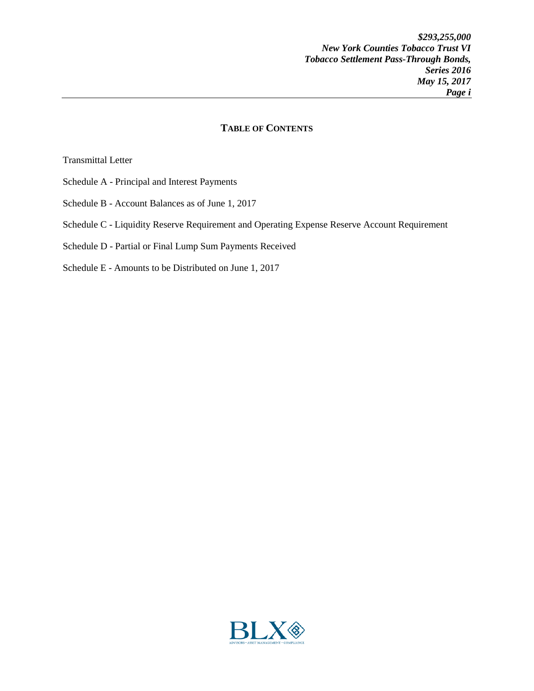## **TABLE OF CONTENTS**

Transmittal Letter

- Schedule A Principal and Interest Payments
- Schedule B Account Balances as of June 1, 2017
- Schedule C Liquidity Reserve Requirement and Operating Expense Reserve Account Requirement
- Schedule D Partial or Final Lump Sum Payments Received
- Schedule E Amounts to be Distributed on June 1, 2017

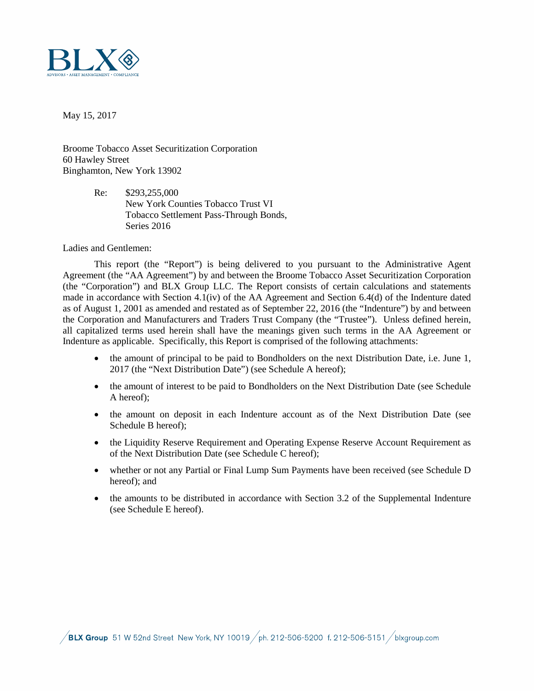

May 15, 2017

Broome Tobacco Asset Securitization Corporation 60 Hawley Street Binghamton, New York 13902

> Re: \$293,255,000 New York Counties Tobacco Trust VI Tobacco Settlement Pass-Through Bonds, Series 2016

Ladies and Gentlemen:

This report (the "Report") is being delivered to you pursuant to the Administrative Agent Agreement (the "AA Agreement") by and between the Broome Tobacco Asset Securitization Corporation (the "Corporation") and BLX Group LLC. The Report consists of certain calculations and statements made in accordance with Section 4.1(iv) of the AA Agreement and Section 6.4(d) of the Indenture dated as of August 1, 2001 as amended and restated as of September 22, 2016 (the "Indenture") by and between the Corporation and Manufacturers and Traders Trust Company (the "Trustee"). Unless defined herein, all capitalized terms used herein shall have the meanings given such terms in the AA Agreement or Indenture as applicable. Specifically, this Report is comprised of the following attachments:

- the amount of principal to be paid to Bondholders on the next Distribution Date, i.e. June 1, 2017 (the "Next Distribution Date") (see Schedule A hereof);
- the amount of interest to be paid to Bondholders on the Next Distribution Date (see Schedule A hereof);
- the amount on deposit in each Indenture account as of the Next Distribution Date (see Schedule B hereof);
- the Liquidity Reserve Requirement and Operating Expense Reserve Account Requirement as of the Next Distribution Date (see Schedule C hereof);
- whether or not any Partial or Final Lump Sum Payments have been received (see Schedule D hereof); and
- the amounts to be distributed in accordance with Section 3.2 of the Supplemental Indenture (see Schedule E hereof).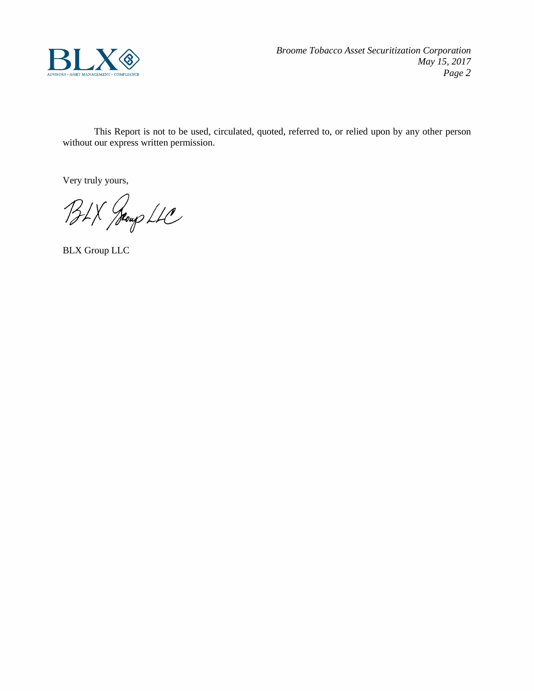

This Report is not to be used, circulated, quoted, referred to, or relied upon by any other person without our express written permission.

Very truly yours,

BLX Jeoup LLC

BLX Group LLC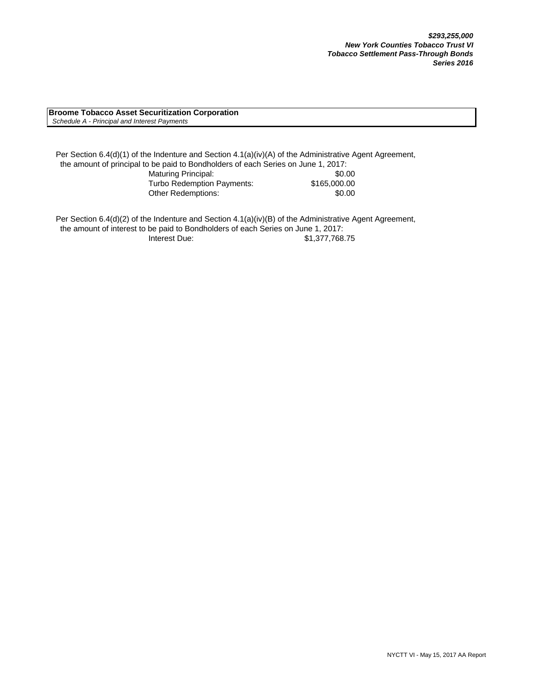**Broome Tobacco Asset Securitization Corporation**  *Schedule A - Principal and Interest Payments*

Per Section 6.4(d)(1) of the Indenture and Section 4.1(a)(iv)(A) of the Administrative Agent Agreement, the amount of principal to be paid to Bondholders of each Series on June 1, 2017: Maturing Principal: \$0.00 Turbo Redemption Payments: \$165,000.00 Other Redemptions:  $$0.00$ 

Per Section 6.4(d)(2) of the Indenture and Section 4.1(a)(iv)(B) of the Administrative Agent Agreement, the amount of interest to be paid to Bondholders of each Series on June 1, 2017: Interest Due: \$1,377,768.75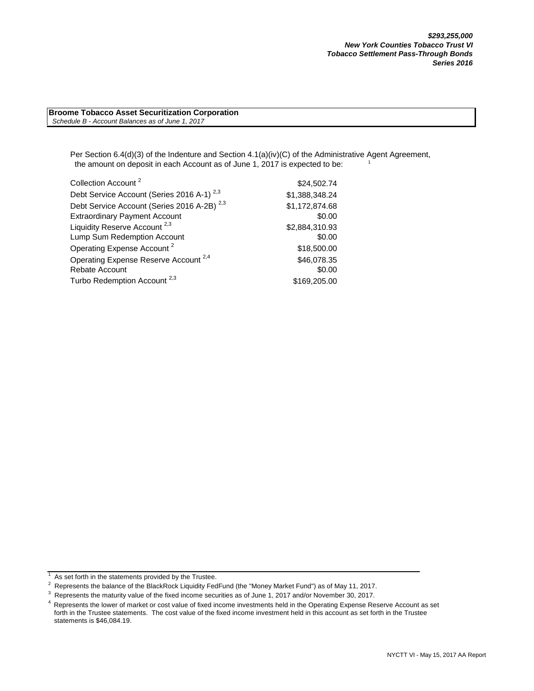**Broome Tobacco Asset Securitization Corporation**  *Schedule B - Account Balances as of June 1, 2017*

> Per Section 6.4(d)(3) of the Indenture and Section 4.1(a)(iv)(C) of the Administrative Agent Agreement, the amount on deposit in each Account as of June 1, 2017 is expected to be:

| Collection Account <sup>2</sup>                        | \$24,502.74    |
|--------------------------------------------------------|----------------|
| Debt Service Account (Series 2016 A-1) <sup>2,3</sup>  | \$1,388,348.24 |
| Debt Service Account (Series 2016 A-2B) <sup>2,3</sup> | \$1,172,874.68 |
| <b>Extraordinary Payment Account</b>                   | \$0.00         |
| Liquidity Reserve Account <sup>2,3</sup>               | \$2,884,310.93 |
| Lump Sum Redemption Account                            | \$0.00         |
| Operating Expense Account <sup>2</sup>                 | \$18,500.00    |
| Operating Expense Reserve Account <sup>2,4</sup>       | \$46,078.35    |
| Rebate Account                                         | \$0.00         |
| Turbo Redemption Account <sup>2,3</sup>                | \$169,205.00   |

<sup>1</sup>  $\frac{1}{1}$  As set forth in the statements provided by the Trustee.

<sup>&</sup>lt;sup>2</sup> Represents the balance of the BlackRock Liquidity FedFund (the "Money Market Fund") as of May 11, 2017.<br><sup>3</sup> Represents the maturity value of the fixed income securities as of June 1, 2017 and/or November 30, 2017.

 $3$  Represents the maturity value of the fixed income securities as of June 1, 2017 and/or November 30, 2017.<br><sup>4</sup> Penresents the lower of market or cost value of fixed income investments held in the Operating Expense Be

Represents the lower of market or cost value of fixed income investments held in the Operating Expense Reserve Account as set forth in the Trustee statements. The cost value of the fixed income investment held in this account as set forth in the Trustee statements is \$46,084.19.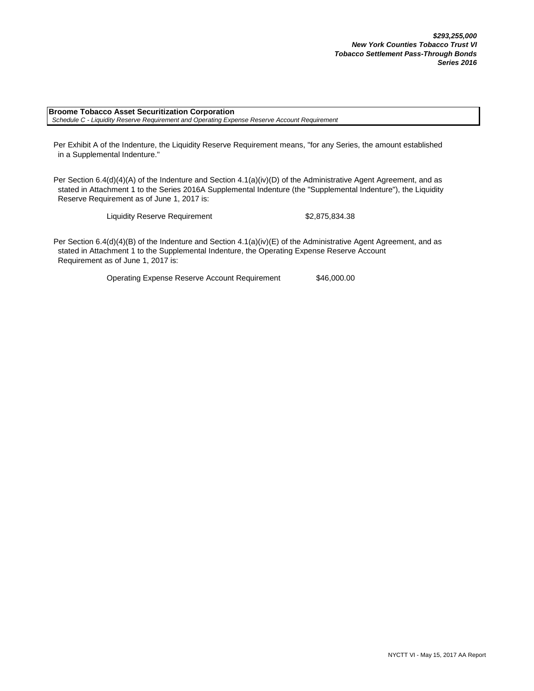**Broome Tobacco Asset Securitization Corporation**  *Schedule C - Liquidity Reserve Requirement and Operating Expense Reserve Account Requirement*

Per Exhibit A of the Indenture, the Liquidity Reserve Requirement means, "for any Series, the amount established in a Supplemental Indenture."

Per Section 6.4(d)(4)(A) of the Indenture and Section 4.1(a)(iv)(D) of the Administrative Agent Agreement, and as stated in Attachment 1 to the Series 2016A Supplemental Indenture (the "Supplemental Indenture"), the Liquidity Reserve Requirement as of June 1, 2017 is:

Liquidity Reserve Requirement \$2,875,834.38

Per Section 6.4(d)(4)(B) of the Indenture and Section 4.1(a)(iv)(E) of the Administrative Agent Agreement, and as stated in Attachment 1 to the Supplemental Indenture, the Operating Expense Reserve Account Requirement as of June 1, 2017 is:

Operating Expense Reserve Account Requirement \$46,000.00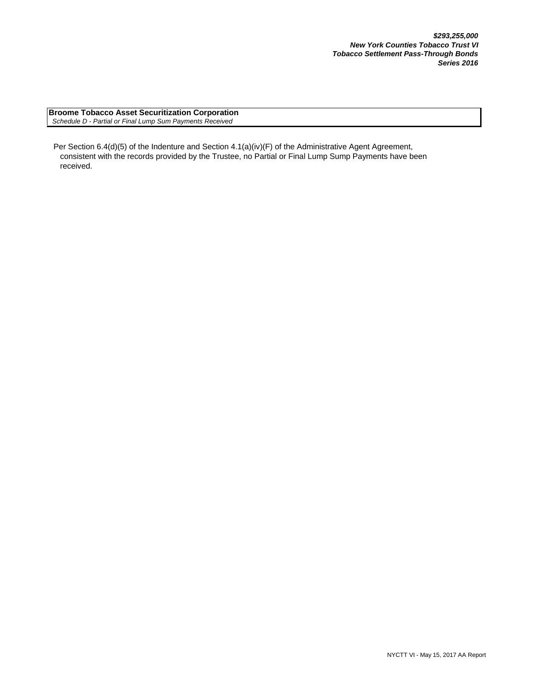**Broome Tobacco Asset Securitization Corporation**  *Schedule D - Partial or Final Lump Sum Payments Received*

Per Section 6.4(d)(5) of the Indenture and Section 4.1(a)(iv)(F) of the Administrative Agent Agreement, consistent with the records provided by the Trustee, no Partial or Final Lump Sump Payments have been received.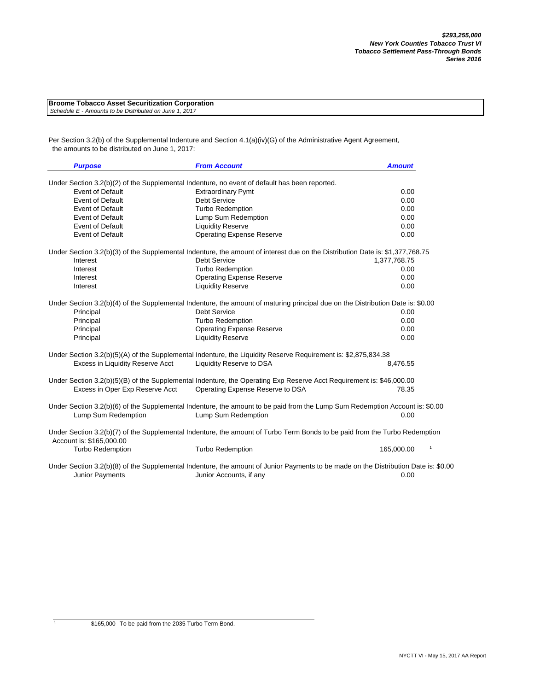| <b>Broome Tobacco Asset Securitization Corporation</b> |  |
|--------------------------------------------------------|--|
| Schedule E - Amounts to be Distributed on June 1, 2017 |  |

Per Section 3.2(b) of the Supplemental Indenture and Section 4.1(a)(iv)(G) of the Administrative Agent Agreement, the amounts to be distributed on June 1, 2017:

| <b>Purpose</b>                   | <b>From Account</b>                                                                                                                                            | <b>Amount</b>              |
|----------------------------------|----------------------------------------------------------------------------------------------------------------------------------------------------------------|----------------------------|
|                                  | Under Section 3.2(b)(2) of the Supplemental Indenture, no event of default has been reported.                                                                  |                            |
| <b>Event of Default</b>          | <b>Extraordinary Pymt</b>                                                                                                                                      | 0.00                       |
| <b>Event of Default</b>          | <b>Debt Service</b>                                                                                                                                            | 0.00                       |
| <b>Event of Default</b>          | <b>Turbo Redemption</b>                                                                                                                                        | 0.00                       |
| <b>Event of Default</b>          | Lump Sum Redemption                                                                                                                                            | 0.00                       |
| <b>Event of Default</b>          | <b>Liquidity Reserve</b>                                                                                                                                       | 0.00                       |
| <b>Event of Default</b>          | <b>Operating Expense Reserve</b>                                                                                                                               | 0.00                       |
|                                  | Under Section 3.2(b)(3) of the Supplemental Indenture, the amount of interest due on the Distribution Date is: \$1,377,768.75                                  |                            |
| Interest                         | <b>Debt Service</b>                                                                                                                                            | 1,377,768.75               |
| Interest                         | <b>Turbo Redemption</b>                                                                                                                                        | 0.00                       |
| Interest                         | <b>Operating Expense Reserve</b>                                                                                                                               | 0.00                       |
| Interest                         | <b>Liquidity Reserve</b>                                                                                                                                       | 0.00                       |
|                                  | Under Section 3.2(b)(4) of the Supplemental Indenture, the amount of maturing principal due on the Distribution Date is: \$0.00                                |                            |
| Principal                        | Debt Service                                                                                                                                                   | 0.00                       |
| Principal                        | <b>Turbo Redemption</b>                                                                                                                                        | 0.00                       |
| Principal                        | <b>Operating Expense Reserve</b>                                                                                                                               | 0.00                       |
| Principal                        | <b>Liquidity Reserve</b>                                                                                                                                       | 0.00                       |
|                                  | Under Section 3.2(b)(5)(A) of the Supplemental Indenture, the Liquidity Reserve Requirement is: \$2,875,834.38                                                 |                            |
| Excess in Liquidity Reserve Acct | Liquidity Reserve to DSA                                                                                                                                       | 8,476.55                   |
|                                  | Under Section 3.2(b)(5)(B) of the Supplemental Indenture, the Operating Exp Reserve Acct Requirement is: \$46,000.00                                           |                            |
| Excess in Oper Exp Reserve Acct  | Operating Expense Reserve to DSA                                                                                                                               | 78.35                      |
|                                  | Under Section 3.2(b)(6) of the Supplemental Indenture, the amount to be paid from the Lump Sum Redemption Account is: \$0.00                                   |                            |
| Lump Sum Redemption              | Lump Sum Redemption                                                                                                                                            | 0.00                       |
| Account is: \$165,000.00         | Under Section 3.2(b)(7) of the Supplemental Indenture, the amount of Turbo Term Bonds to be paid from the Turbo Redemption                                     |                            |
| <b>Turbo Redemption</b>          | <b>Turbo Redemption</b>                                                                                                                                        | $\mathbf{1}$<br>165,000.00 |
| <b>Junior Payments</b>           | Under Section 3.2(b)(8) of the Supplemental Indenture, the amount of Junior Payments to be made on the Distribution Date is: \$0.00<br>Junior Accounts, if any | 0.00                       |

1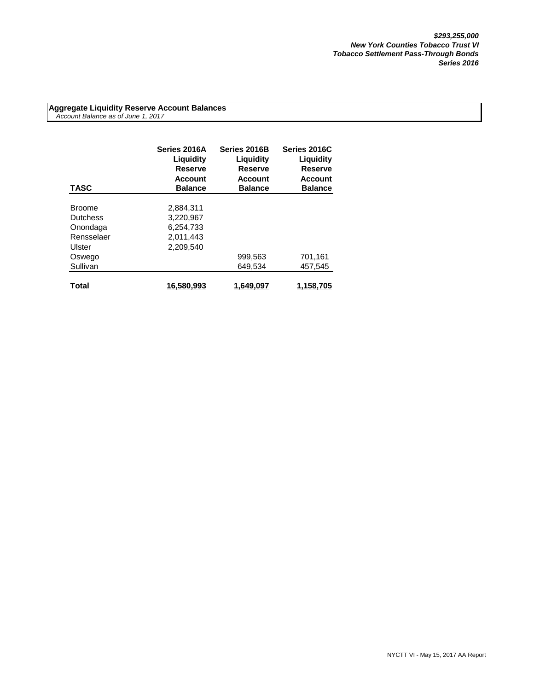**Aggregate Liquidity Reserve Account Balances**  *Account Balance as of June 1, 2017*

| <b>TASC</b>     | Series 2016A<br>Liquidity<br>Reserve<br><b>Account</b><br><b>Balance</b> | Series 2016B<br>Liquidity<br><b>Reserve</b><br><b>Account</b><br><b>Balance</b> | Series 2016C<br><b>Liquidity</b><br><b>Reserve</b><br><b>Account</b><br><b>Balance</b> |
|-----------------|--------------------------------------------------------------------------|---------------------------------------------------------------------------------|----------------------------------------------------------------------------------------|
| <b>Broome</b>   | 2,884,311                                                                |                                                                                 |                                                                                        |
| <b>Dutchess</b> | 3,220,967                                                                |                                                                                 |                                                                                        |
|                 |                                                                          |                                                                                 |                                                                                        |
| Onondaga        | 6,254,733                                                                |                                                                                 |                                                                                        |
| Rensselaer      | 2,011,443                                                                |                                                                                 |                                                                                        |
| Ulster          | 2.209.540                                                                |                                                                                 |                                                                                        |
| Oswego          |                                                                          | 999,563                                                                         | 701,161                                                                                |
| Sullivan        |                                                                          | 649.534                                                                         | 457.545                                                                                |
| Total           | 16,580,993                                                               | 1.649.097                                                                       | 1,158,705                                                                              |